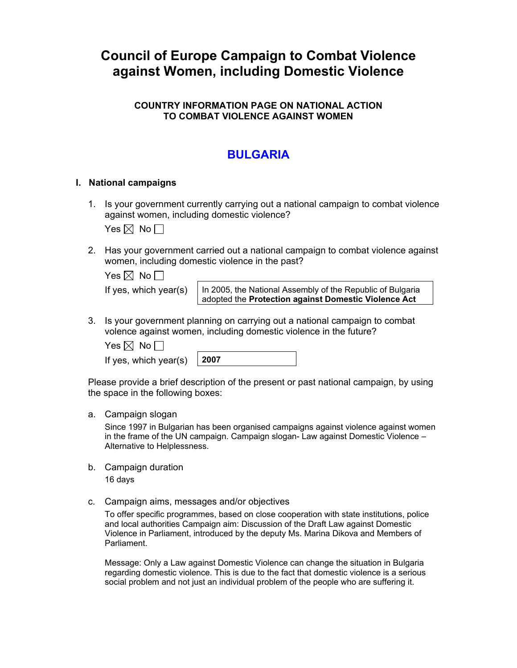# **Council of Europe Campaign to Combat Violence against Women, including Domestic Violence**

### **COUNTRY INFORMATION PAGE ON NATIONAL ACTION TO COMBAT VIOLENCE AGAINST WOMEN**

## **BULGARIA**

#### **I. National campaigns**

1. Is your government currently carrying out a national campaign to combat violence against women, including domestic violence?

Yes  $\boxtimes$  No  $\Box$ 

2. Has your government carried out a national campaign to combat violence against women, including domestic violence in the past?

| Yes $\boxtimes$ No $\Box$ |  |
|---------------------------|--|
|                           |  |

If yes, which year(s)  $\vert$  In 2005, the National Assembly of the Republic of Bulgaria adopted the **Protection against Domestic Violence Act** 

3. Is your government planning on carrying out a national campaign to combat volence against women, including domestic violence in the future?

Yes  $\boxtimes$  No  $\Box$ 

If yes, which year(s)

Please provide a brief description of the present or past national campaign, by using the space in the following boxes:

a. Campaign slogan

Since 1997 in Bulgarian has been organised campaigns against violence against women in the frame of the UN campaign. Campaign slogan- Law against Domestic Violence – Alternative to Helplessness.

- b. Campaign duration 16 days
- c. Campaign aims, messages and/or objectives

To offer specific programmes, based on close cooperation with state institutions, police and local authorities Campaign aim: Discussion of the Draft Law against Domestic Violence in Parliament, introduced by the deputy Ms. Marina Dikova and Members of Parliament.

Message: Only a Law against Domestic Violence can change the situation in Bulgaria regarding domestic violence. This is due to the fact that domestic violence is a serious social problem and not just an individual problem of the people who are suffering it.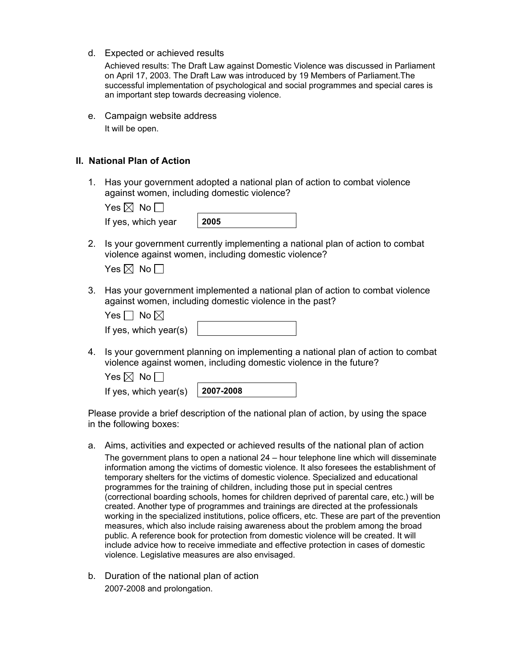d. Expected or achieved results

Achieved results: The Draft Law against Domestic Violence was discussed in Parliament on April 17, 2003. The Draft Law was introduced by 19 Members of Parliament.The successful implementation of psychological and social programmes and special cares is an important step towards decreasing violence.

e. Campaign website address It will be open.

#### **II. National Plan of Action**

1. Has your government adopted a national plan of action to combat violence against women, including domestic violence?

| Yes $\boxtimes$ No $\Box$ |      |
|---------------------------|------|
| If yes, which year        | 2005 |

2. Is your government currently implementing a national plan of action to combat violence against women, including domestic violence?

| $\operatorname{\mathsf{res}}\boxtimes\mathbb{N}$ No |  |  |
|-----------------------------------------------------|--|--|
|-----------------------------------------------------|--|--|

3. Has your government implemented a national plan of action to combat violence against women, including domestic violence in the past?

| Yes $\Box$ No $\boxtimes$ |  |
|---------------------------|--|
| If yes, which year(s)     |  |

4. Is your government planning on implementing a national plan of action to combat violence against women, including domestic violence in the future?

| Yes $\boxtimes$ No $\Box$               |  |
|-----------------------------------------|--|
| If yes, which year(s) $\vert$ 2007-2008 |  |

Please provide a brief description of the national plan of action, by using the space in the following boxes:

a. Aims, activities and expected or achieved results of the national plan of action

The government plans to open a national 24 – hour telephone line which will disseminate information among the victims of domestic violence. It also foresees the establishment of temporary shelters for the victims of domestic violence. Specialized and educational programmes for the training of children, including those put in special centres (correctional boarding schools, homes for children deprived of parental care, etc.) will be created. Another type of programmes and trainings are directed at the professionals working in the specialized institutions, police officers, etc. These are part of the prevention measures, which also include raising awareness about the problem among the broad public. A reference book for protection from domestic violence will be created. It will include advice how to receive immediate and effective protection in cases of domestic violence. Legislative measures are also envisaged.

b. Duration of the national plan of action 2007-2008 and prolongation.